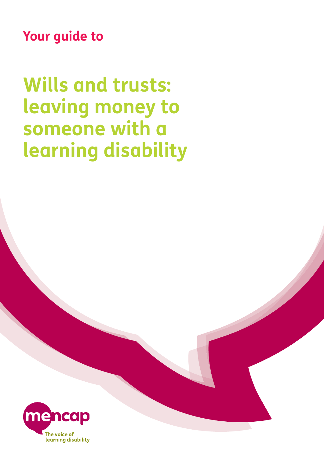**Your guide to**

**Wills and trusts: leaving money to someone with a learning disability**

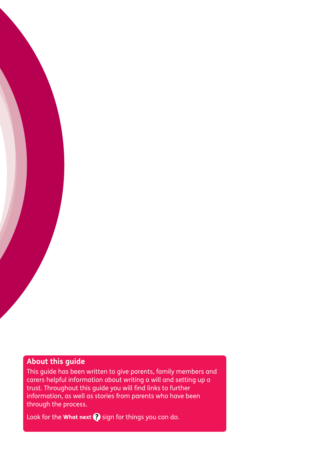#### **About this guide**

This guide has been written to give parents, family members and carers helpful information about writing a will and setting up a trust. Throughout this guide you will find links to further information, as well as stories from parents who have been through the process.

Look for the What next  $\bullet$  sign for things you can do.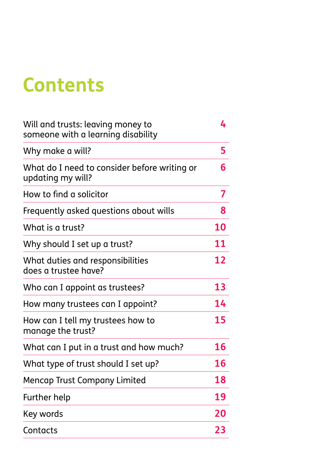# **Contents**

| Will and trusts: leaving money to<br>someone with a learning disability | 4         |
|-------------------------------------------------------------------------|-----------|
| Why make a will?                                                        | 5         |
| What do I need to consider before writing or<br>updating my will?       | 6         |
| How to find a solicitor                                                 | 7         |
| Frequently asked questions about wills                                  | 8         |
| What is a trust?                                                        | <b>10</b> |
| Why should I set up a trust?                                            | 11        |
| What duties and responsibilities<br>does a trustee have?                | 12        |
| Who can I appoint as trustees?                                          | 13        |
| How many trustees can I appoint?                                        | 14        |
| How can I tell my trustees how to<br>manage the trust?                  | 15        |
| What can I put in a trust and how much?                                 | 16        |
| What type of trust should I set up?                                     | <b>16</b> |
| <b>Mencap Trust Company Limited</b>                                     | 18        |
| Further help                                                            | 19        |
| Key words                                                               | 20        |
| Contacts                                                                | 23        |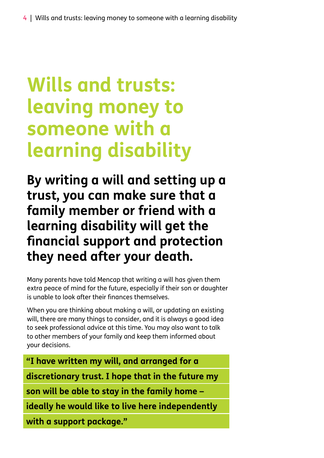# **Wills and trusts: leaving money to someone with a learning disability**

**By writing a will and setting up a trust, you can make sure that a family member or friend with a learning disability will get the financial support and protection they need after your death.**

Many parents have told Mencap that writing a will has given them extra peace of mind for the future, especially if their son or daughter is unable to look after their finances themselves.

When you are thinking about making a will, or updating an existing will, there are many things to consider, and it is always a good idea to seek professional advice at this time. You may also want to talk to other members of your family and keep them informed about your decisions.

**"I have written my will, and arranged for a discretionary trust. I hope that in the future my son will be able to stay in the family home – ideally he would like to live here independently**

**with a support package."**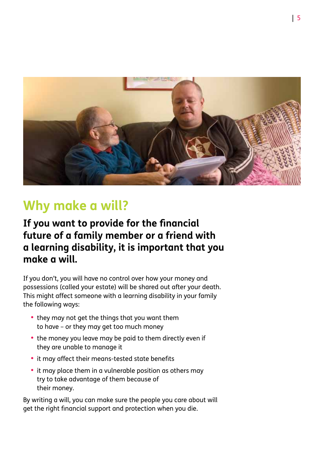

## **Why make a will?**

### **If you want to provide for the financial future of a family member or a friend with a learning disability, it is important that you make a will.**

If you don't, you will have no control over how your money and possessions (called your estate) will be shared out after your death. This might affect someone with a learning disability in your family the following ways:

- they may not get the things that you want them to have – or they may get too much money
- the money you leave may be paid to them directly even if they are unable to manage it
- it may affect their means-tested state benefits
- it may place them in a vulnerable position as others may try to take advantage of them because of their money.

By writing a will, you can make sure the people you care about will get the right financial support and protection when you die.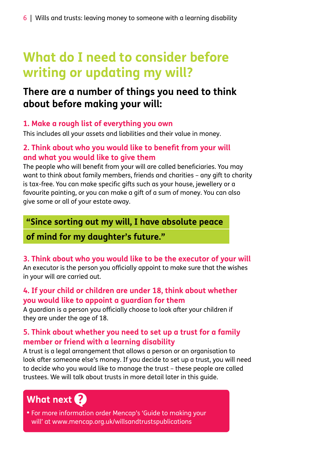## **What do I need to consider before writing or updating my will?**

### **There are a number of things you need to think about before making your will:**

#### **1. Make a rough list of everything you own**

This includes all your assets and liabilities and their value in money.

#### **2. Think about who you would like to benefit from your will and what you would like to give them**

The people who will benefit from your will are called beneficiaries. You may want to think about family members, friends and charities – any gift to charity is tax-free. You can make specific gifts such as your house, jewellery or a favourite painting, or you can make a gift of a sum of money. You can also give some or all of your estate away.

#### **"Since sorting out my will, I have absolute peace**

### **of mind for my daughter's future."**

#### **3. Think about who you would like to be the executor of your will**

An executor is the person you officially appoint to make sure that the wishes in your will are carried out.

#### **4. If your child or children are under 18, think about whether you would like to appoint a guardian for them**

A guardian is a person you officially choose to look after your children if they are under the age of 18.

#### **5. Think about whether you need to set up a trust for a family member or friend with a learning disability**

A trust is a legal arrangement that allows a person or an organisation to look after someone else's money. If you decide to set up a trust, you will need to decide who you would like to manage the trust – these people are called trustees. We will talk about trusts in more detail later in this guide.

## What next ?

**•** For more information order Mencap's 'Guide to making your will' at www.mencap.org.uk/willsandtrustspublications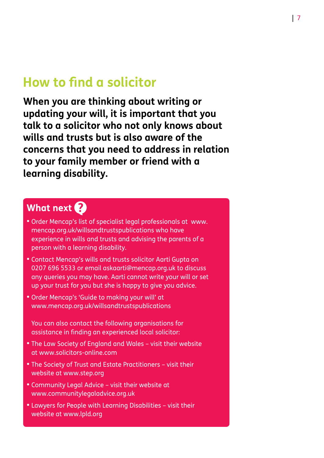## **How to find a solicitor**

**When you are thinking about writing or updating your will, it is important that you talk to a solicitor who not only knows about wills and trusts but is also aware of the concerns that you need to address in relation to your family member or friend with a learning disability.**

### What next ?

- **•** Order Mencap's list of specialist legal professionals at www. mencap.org.uk/willsandtrustspublications who have experience in wills and trusts and advising the parents of a person with a learning disability.
- **•** Contact Mencap's wills and trusts solicitor Aarti Gupta on 0207 696 5533 or email askaarti@mencap.org.uk to discuss any queries you may have. Aarti cannot write your will or set up your trust for you but she is happy to give you advice.
- **•** Order Mencap's 'Guide to making your will' at www.mencap.org.uk/willsandtrustspublications

You can also contact the following organisations for assistance in finding an experienced local solicitor:

- **The Law Society of England and Wales visit their website** at www.solicitors-online.com
- **The Society of Trust and Estate Practitioners visit their** website at www.step.org
- **•** Community Legal Advice visit their website at www.communitylegaladvice.org.uk
- **•** Lawyers for People with Learning Disabilities visit their website at www.lpld.org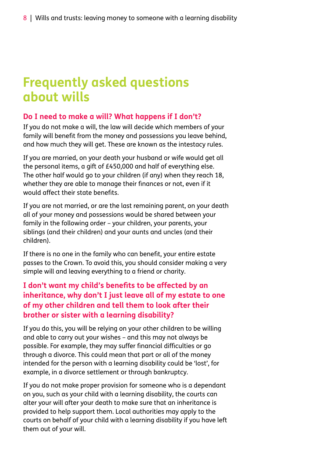## **Frequently asked questions about wills**

#### **Do I need to make a will? What happens if I don't?**

If you do not make a will, the law will decide which members of your family will benefit from the money and possessions you leave behind, and how much they will get. These are known as the intestacy rules.

If you are married, on your death your husband or wife would get all the personal items, a gift of £450,000 and half of everything else. The other half would go to your children (if any) when they reach 18, whether they are able to manage their finances or not, even if it would affect their state benefits.

If you are not married, or are the last remaining parent, on your death all of your money and possessions would be shared between your family in the following order – your children, your parents, your siblings (and their children) and your aunts and uncles (and their children).

If there is no one in the family who can benefit, your entire estate passes to the Crown. To avoid this, you should consider making a very simple will and leaving everything to a friend or charity.

#### **I don't want my child's benefits to be affected by an inheritance, why don't I just leave all of my estate to one of my other children and tell them to look after their brother or sister with a learning disability?**

If you do this, you will be relying on your other children to be willing and able to carry out your wishes – and this may not always be possible. For example, they may suffer financial difficulties or go through a divorce. This could mean that part or all of the money intended for the person with a learning disability could be 'lost', for example, in a divorce settlement or through bankruptcy.

If you do not make proper provision for someone who is a dependant on you, such as your child with a learning disability, the courts can alter your will after your death to make sure that an inheritance is provided to help support them. Local authorities may apply to the courts on behalf of your child with a learning disability if you have left them out of your will.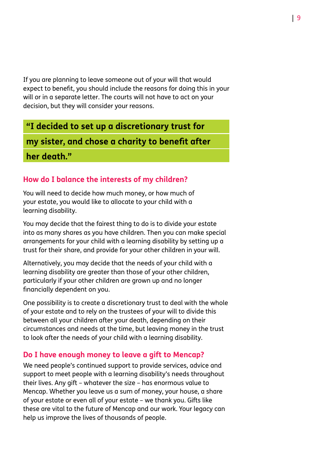If you are planning to leave someone out of your will that would expect to benefit, you should include the reasons for doing this in your will or in a separate letter. The courts will not have to act on your decision, but they will consider your reasons.

#### **"I decided to set up a discretionary trust for**

**my sister, and chose a charity to benefit after**

**her death."** 

#### **How do I balance the interests of my children?**

You will need to decide how much money, or how much of your estate, you would like to allocate to your child with a learning disability.

You may decide that the fairest thing to do is to divide your estate into as many shares as you have children. Then you can make special arrangements for your child with a learning disability by setting up a trust for their share, and provide for your other children in your will.

Alternatively, you may decide that the needs of your child with a learning disability are greater than those of your other children, particularly if your other children are grown up and no longer financially dependent on you.

One possibility is to create a discretionary trust to deal with the whole of your estate and to rely on the trustees of your will to divide this between all your children after your death, depending on their circumstances and needs at the time, but leaving money in the trust to look after the needs of your child with a learning disability.

#### **Do I have enough money to leave a gift to Mencap?**

We need people's continued support to provide services, advice and support to meet people with a learning disability's needs throughout their lives. Any gift – whatever the size – has enormous value to Mencap. Whether you leave us a sum of money, your house, a share of your estate or even all of your estate – we thank you. Gifts like these are vital to the future of Mencap and our work. Your legacy can help us improve the lives of thousands of people.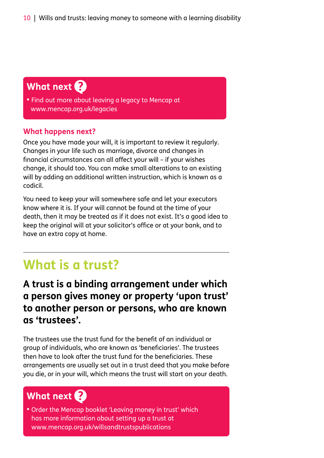### What next ?

**•** Find out more about leaving a legacy to Mencap at www.mencap.org.uk/legacies

#### **What happens next?**

Once you have made your will, it is important to review it regularly. Changes in your life such as marriage, divorce and changes in financial circumstances can all affect your will – if your wishes change, it should too. You can make small alterations to an existing will by adding an additional written instruction, which is known as a codicil.

You need to keep your will somewhere safe and let your executors know where it is. If your will cannot be found at the time of your death, then it may be treated as if it does not exist. It's a good idea to keep the original will at your solicitor's office or at your bank, and to have an extra copy at home.

## **What is a trust?**

### **A trust is a binding arrangement under which a person gives money or property 'upon trust' to another person or persons, who are known as 'trustees'.**

The trustees use the trust fund for the benefit of an individual or group of individuals, who are known as 'beneficiaries'. The trustees then have to look after the trust fund for the beneficiaries. These arrangements are usually set out in a trust deed that you make before you die, or in your will, which means the trust will start on your death.

### What next ?

**•** Order the Mencap booklet 'Leaving money in trust' which has more information about setting up a trust at www.mencap.org.uk/willsandtrustspublications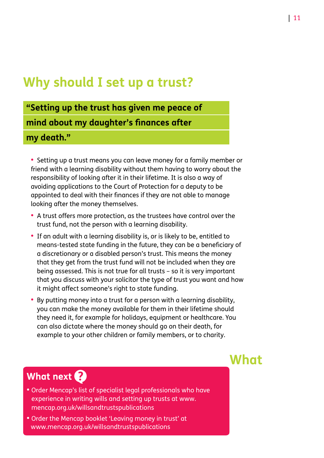## **Why should I set up a trust?**

## **"Setting up the trust has given me peace of mind about my daughter's finances after my death."**

**•**  Setting up a trust means you can leave money for a family member or friend with a learning disability without them having to worry about the responsibility of looking after it in their lifetime. It is also a way of avoiding applications to the Court of Protection for a deputy to be appointed to deal with their finances if they are not able to manage looking after the money themselves.

- **•**  A trust offers more protection, as the trustees have control over the trust fund, not the person with a learning disability.
- **•**  If an adult with a learning disability is, or is likely to be, entitled to means-tested state funding in the future, they can be a beneficiary of a discretionary or a disabled person's trust. This means the money that they get from the trust fund will not be included when they are being assessed. This is not true for all trusts – so it is very important that you discuss with your solicitor the type of trust you want and how it might affect someone's right to state funding.
- **•**  By putting money into a trust for a person with a learning disability, you can make the money available for them in their lifetime should they need it, for example for holidays, equipment or healthcare. You can also dictate where the money should go on their death, for example to your other children or family members, or to charity.

## **What**

### What next ?

- **•** Order Mencap's list of specialist legal professionals who have experience in writing wills and setting up trusts at www. mencap.org.uk/willsandtrustspublications
- **•** Order the Mencap booklet 'Leaving money in trust' at www.mencap.org.uk/willsandtrustspublications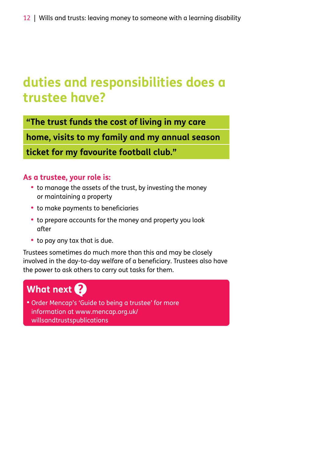## **duties and responsibilities does a trustee have?**

**"The trust funds the cost of living in my care**

**home, visits to my family and my annual season**

**ticket for my favourite football club."** 

#### **As a trustee, your role is:**

- to manage the assets of the trust, by investing the money or maintaining a property
- **•**  to make payments to beneficiaries
- to prepare accounts for the money and property you look after
- **•**  to pay any tax that is due.

Trustees sometimes do much more than this and may be closely involved in the day-to-day welfare of a beneficiary. Trustees also have the power to ask others to carry out tasks for them.

### What next ?

**•** Order Mencap's 'Guide to being a trustee' for more information at www.mencap.org.uk/ willsandtrustspublications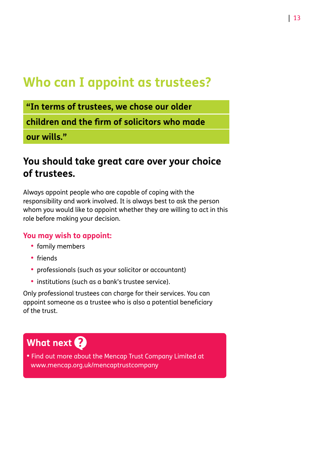## **Who can I appoint as trustees?**

**"In terms of trustees, we chose our older**

**children and the firm of solicitors who made**

**our wills."** 

### **You should take great care over your choice of trustees.**

Always appoint people who are capable of coping with the responsibility and work involved. It is always best to ask the person whom you would like to appoint whether they are willing to act in this role before making your decision.

#### **You may wish to appoint:**

- **•**  family members
- **•**  friends
- **•**  professionals (such as your solicitor or accountant)
- **•**  institutions (such as a bank's trustee service).

Only professional trustees can charge for their services. You can appoint someone as a trustee who is also a potential beneficiary of the trust.

### What next ?

**•** Find out more about the Mencap Trust Company Limited at www.mencap.org.uk/mencaptrustcompany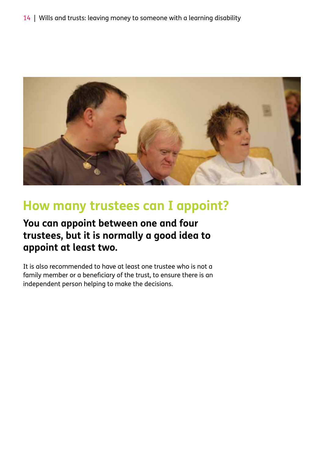

## **How many trustees can I appoint?**

### **You can appoint between one and four trustees, but it is normally a good idea to appoint at least two.**

It is also recommended to have at least one trustee who is not a family member or a beneficiary of the trust, to ensure there is an independent person helping to make the decisions.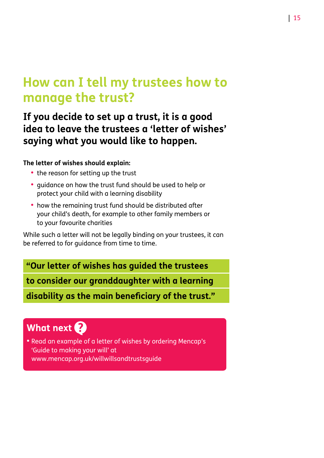## **How can I tell my trustees how to manage the trust?**

### **If you decide to set up a trust, it is a good idea to leave the trustees a 'letter of wishes' saying what you would like to happen.**

#### **The letter of wishes should explain:**

- the reason for setting up the trust
- **•**  guidance on how the trust fund should be used to help or protect your child with a learning disability
- how the remaining trust fund should be distributed after your child's death, for example to other family members or to your favourite charities

While such a letter will not be legally binding on your trustees, it can be referred to for guidance from time to time.

#### **"Our letter of wishes has guided the trustees**

**to consider our granddaughter with a learning**

**disability as the main beneficiary of the trust."**

### What next ?

**•** Read an example of a letter of wishes by ordering Mencap's 'Guide to making your will' at www.mencap.org.uk/willwillsandtrustsguide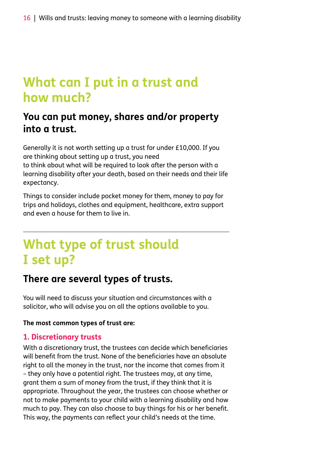## **What can I put in a trust and how much?**

### **You can put money, shares and/or property into a trust.**

Generally it is not worth setting up a trust for under £10,000. If you are thinking about setting up a trust, you need to think about what will be required to look after the person with a learning disability after your death, based on their needs and their life expectancy.

Things to consider include pocket money for them, money to pay for trips and holidays, clothes and equipment, healthcare, extra support and even a house for them to live in.

## **What type of trust should I set up?**

### **There are several types of trusts.**

You will need to discuss your situation and circumstances with a solicitor, who will advise you on all the options available to you.

#### **The most common types of trust are:**

#### **1. Discretionary trusts**

With a discretionary trust, the trustees can decide which beneficiaries will benefit from the trust. None of the beneficiaries have an absolute right to all the money in the trust, nor the income that comes from it – they only have a potential right. The trustees may, at any time, grant them a sum of money from the trust, if they think that it is appropriate. Throughout the year, the trustees can choose whether or not to make payments to your child with a learning disability and how much to pay. They can also choose to buy things for his or her benefit. This way, the payments can reflect your child's needs at the time.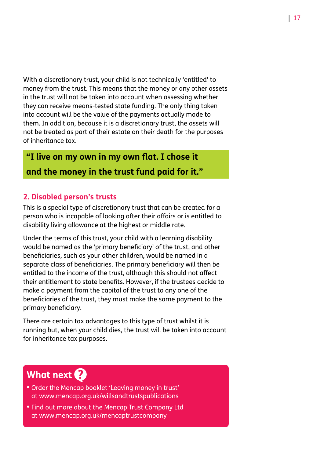With a discretionary trust, your child is not technically 'entitled' to money from the trust. This means that the money or any other assets in the trust will not be taken into account when assessing whether they can receive means-tested state funding. The only thing taken into account will be the value of the payments actually made to them. In addition, because it is a discretionary trust, the assets will not be treated as part of their estate on their death for the purposes of inheritance tax.

#### **"I live on my own in my own flat. I chose it**

#### **and the money in the trust fund paid for it."**

#### **2. Disabled person's trusts**

This is a special type of discretionary trust that can be created for a person who is incapable of looking after their affairs or is entitled to disability living allowance at the highest or middle rate.

Under the terms of this trust, your child with a learning disability would be named as the 'primary beneficiary' of the trust, and other beneficiaries, such as your other children, would be named in a separate class of beneficiaries. The primary beneficiary will then be entitled to the income of the trust, although this should not affect their entitlement to state benefits. However, if the trustees decide to make a payment from the capital of the trust to any one of the beneficiaries of the trust, they must make the same payment to the primary beneficiary.

There are certain tax advantages to this type of trust whilst it is running but, when your child dies, the trust will be taken into account for inheritance tax purposes.

### What next ?

- **•** Order the Mencap booklet 'Leaving money in trust' at www.mencap.org.uk/willsandtrustspublications
- **•** Find out more about the Mencap Trust Company Ltd at www.mencap.org.uk/mencaptrustcompany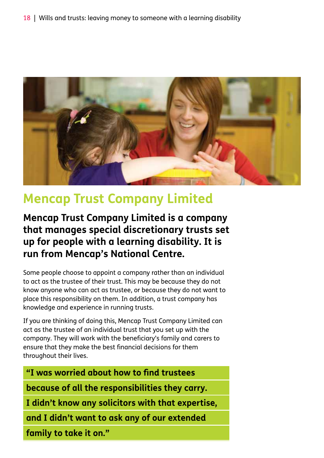

## **Mencap Trust Company Limited**

**Mencap Trust Company Limited is a company that manages special discretionary trusts set up for people with a learning disability. It is run from Mencap's National Centre.**

Some people choose to appoint a company rather than an individual to act as the trustee of their trust. This may be because they do not know anyone who can act as trustee, or because they do not want to place this responsibility on them. In addition, a trust company has knowledge and experience in running trusts.

If you are thinking of doing this, Mencap Trust Company Limited can act as the trustee of an individual trust that you set up with the company. They will work with the beneficiary's family and carers to ensure that they make the best financial decisions for them throughout their lives.

**"I was worried about how to find trustees**

**because of all the responsibilities they carry.**

**I didn't know any solicitors with that expertise,**

**and I didn't want to ask any of our extended**

**family to take it on."**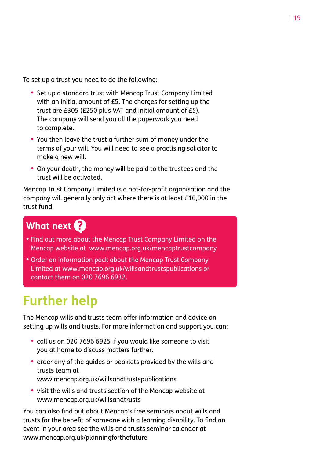To set up a trust you need to do the following:

- **•**  Set up a standard trust with Mencap Trust Company Limited with an initial amount of £5. The charges for setting up the trust are £305 (£250 plus VAT and initial amount of £5). The company will send you all the paperwork you need to complete.
- **•**  You then leave the trust a further sum of money under the terms of your will. You will need to see a practising solicitor to make a new will.
- **•**  On your death, the money will be paid to the trustees and the trust will be activated.

Mencap Trust Company Limited is a not-for-profit organisation and the company will generally only act where there is at least £10,000 in the trust fund.

## What next ?

- **•** Find out more about the Mencap Trust Company Limited on the Mencap website at www.mencap.org.uk/mencaptrustcompany
- **•** Order an information pack about the Mencap Trust Company Limited at www.mencap.org.uk/willsandtrustspublications or contact them on 020 7696 6932.

## **Further help**

The Mencap wills and trusts team offer information and advice on setting up wills and trusts. For more information and support you can:

- **•**  call us on 020 7696 6925 if you would like someone to visit you at home to discuss matters further.
- **•**  order any of the guides or booklets provided by the wills and trusts team at www.mencap.org.uk/willsandtrustspublications
- **•**  visit the wills and trusts section of the Mencap website at www.mencap.org.uk/willsandtrusts

You can also find out about Mencap's free seminars about wills and trusts for the benefit of someone with a learning disability. To find an event in your area see the wills and trusts seminar calendar at www.mencap.org.uk/planningforthefuture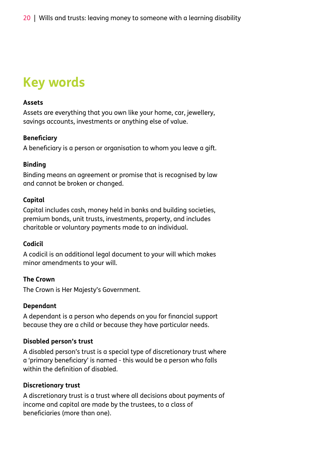## **Key words**

#### **Assets**

Assets are everything that you own like your home, car, jewellery, savings accounts, investments or anything else of value.

#### **Beneficiary**

A beneficiary is a person or organisation to whom you leave a gift.

#### **Binding**

Binding means an agreement or promise that is recognised by law and cannot be broken or changed.

#### **Capital**

Capital includes cash, money held in banks and building societies, premium bonds, unit trusts, investments, property, and includes charitable or voluntary payments made to an individual.

#### **Codicil**

A codicil is an additional legal document to your will which makes minor amendments to your will.

#### **The Crown**

The Crown is Her Majesty's Government.

#### **Dependant**

A dependant is a person who depends on you for financial support because they are a child or because they have particular needs.

#### **Disabled person's trust**

A disabled person's trust is a special type of discretionary trust where a 'primary beneficiary' is named - this would be a person who falls within the definition of disabled.

#### **Discretionary trust**

A discretionary trust is a trust where all decisions about payments of income and capital are made by the trustees, to a class of beneficiaries (more than one).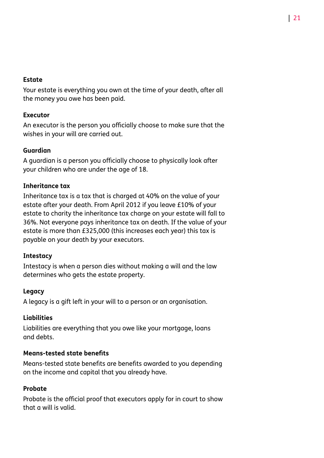#### **Estate**

Your estate is everything you own at the time of your death, after all the money you owe has been paid.

#### **Executor**

An executor is the person you officially choose to make sure that the wishes in your will are carried out.

#### **Guardian**

A guardian is a person you officially choose to physically look after your children who are under the age of 18.

#### **Inheritance tax**

Inheritance tax is a tax that is charged at 40% on the value of your estate after your death. From April 2012 if you leave £10% of your estate to charity the inheritance tax charge on your estate will fall to 36%. Not everyone pays inheritance tax on death. If the value of your estate is more than £325,000 (this increases each year) this tax is payable on your death by your executors.

#### **Intestacy**

Intestacy is when a person dies without making a will and the law determines who gets the estate property.

#### **Legacy**

A legacy is a gift left in your will to a person or an organisation.

#### **Liabilities**

Liabilities are everything that you owe like your mortgage, loans and debts.

#### **Means-tested state benefits**

Means-tested state benefits are benefits awarded to you depending on the income and capital that you already have.

#### **Probate**

Probate is the official proof that executors apply for in court to show that a will is valid.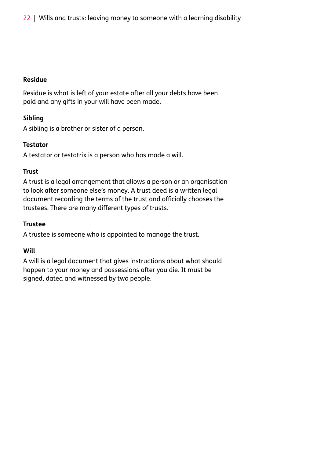#### **Residue**

Residue is what is left of your estate after all your debts have been paid and any gifts in your will have been made.

#### **Sibling**

A sibling is a brother or sister of a person.

#### **Testator**

A testator or testatrix is a person who has made a will.

#### **Trust**

A trust is a legal arrangement that allows a person or an organisation to look after someone else's money. A trust deed is a written legal document recording the terms of the trust and officially chooses the trustees. There are many different types of trusts.

#### **Trustee**

A trustee is someone who is appointed to manage the trust.

#### **Will**

A will is a legal document that gives instructions about what should happen to your money and possessions after you die. It must be signed, dated and witnessed by two people.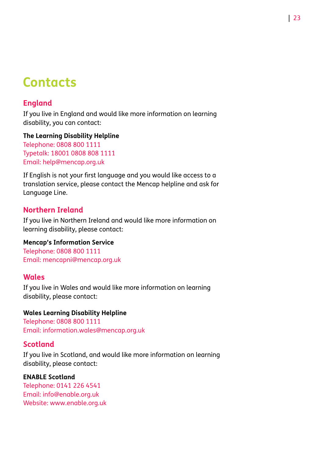## **Contacts**

#### **England**

If you live in England and would like more information on learning disability, you can contact:

#### **The Learning Disability Helpline**

Telephone: 0808 800 1111 Typetalk: 18001 0808 808 1111 Email: help@mencap.org.uk

If English is not your first language and you would like access to a translation service, please contact the Mencap helpline and ask for Language Line.

#### **Northern Ireland**

If you live in Northern Ireland and would like more information on learning disability, please contact:

#### **Mencap's Information Service**

Telephone: 0808 800 1111 Email: mencapni@mencap.org.uk

#### **Wales**

If you live in Wales and would like more information on learning disability, please contact:

#### **Wales Learning Disability Helpline**

Telephone: 0808 800 1111 Email: information.wales@mencap.org.uk

#### **Scotland**

If you live in Scotland, and would like more information on learning disability, please contact:

#### **ENABLE Scotland**

Telephone: 0141 226 4541 Email: info@enable.org.uk Website: www.enable.org.uk